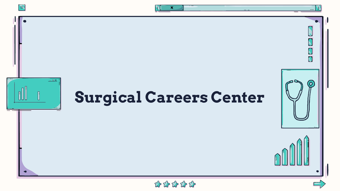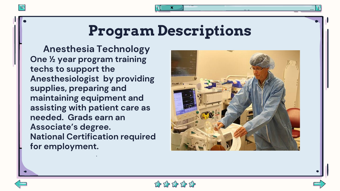# **Program Descriptions**

**Anesthesia Technology One ½ year program training techs to support the Anesthesiologist by providing supplies, preparing and maintaining equipment and assisting with patient care as needed. Grads earn an Associate's degree. National Certification required for employment.** 

闫

.



\*\*\*\*\*\*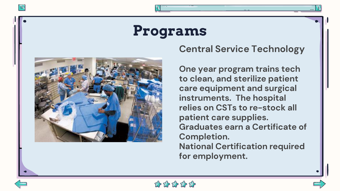# **Programs**



#### **Central Service Technology**

**One year program trains tech to clean, and sterilize patient care equipment and surgical instruments. The hospital relies on CSTs to re-stock all patient care supplies. Graduates earn a Certificate of Completion. National Certification required for employment.** 



闫

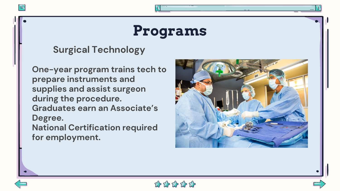

#### **Surgical Technology**

**One-year program trains tech to prepare instruments and supplies and assist surgeon during the procedure. Graduates earn an Associate's Degree. National Certification required for employment.** 





 $\equiv$ 

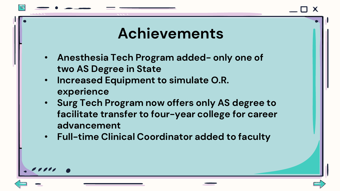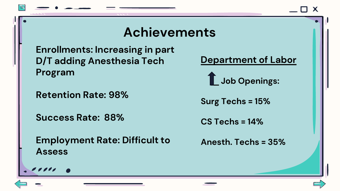## **Achievements**

**Enrollments: Increasing in part D/T adding Anesthesia Tech Program**

**Retention Rate: 98%**

**Success Rate: 88%** 

**Employment Rate: Difficult to Assess**

$$
.\hspace{0.1cm}....\hspace{0.1cm}
$$

**Department of Labor**

**Job Openings:**

**Surg Techs = 15%**

**CS Techs = 14%**

**Anesth. Techs = 35%**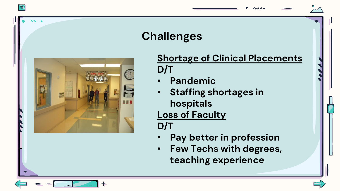## **Challenges**



官

#### **Shortage of Clinical Placements D/T**

- **Pandemic**
- **Staffing shortages in hospitals**

### **Loss of Faculty**

**D/T**

- **Pay better in profession**
- **Few Techs with degrees, teaching experience**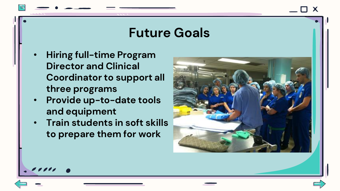### **Future Goals**

- **Hiring full-time Program Director and Clinical Coordinator to support all three programs**
- **Provide up-to-date tools and equipment**
- **Train students in soft skills to prepare them for work**